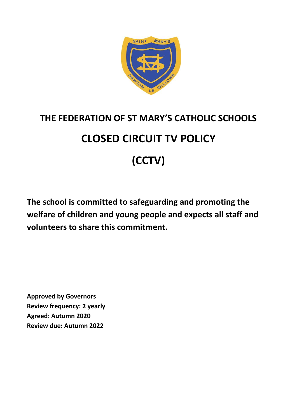

# **THE FEDERATION OF ST MARY'S CATHOLIC SCHOOLS CLOSED CIRCUIT TV POLICY (CCTV)**

**The school is committed to safeguarding and promoting the welfare of children and young people and expects all staff and volunteers to share this commitment.**

**Approved by Governors Review frequency: 2 yearly Agreed: Autumn 2020 Review due: Autumn 2022**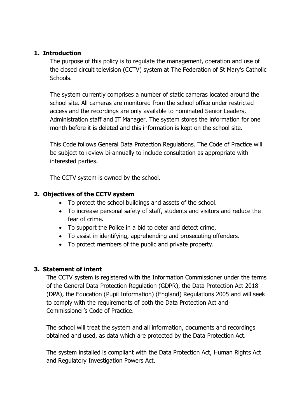#### **1. Introduction**

The purpose of this policy is to regulate the management, operation and use of the closed circuit television (CCTV) system at The Federation of St Mary's Catholic Schools.

The system currently comprises a number of static cameras located around the school site. All cameras are monitored from the school office under restricted access and the recordings are only available to nominated Senior Leaders, Administration staff and IT Manager. The system stores the information for one month before it is deleted and this information is kept on the school site.

This Code follows General Data Protection Regulations. The Code of Practice will be subject to review bi-annually to include consultation as appropriate with interested parties.

The CCTV system is owned by the school.

## **2. Objectives of the CCTV system**

- To protect the school buildings and assets of the school.
- To increase personal safety of staff, students and visitors and reduce the fear of crime.
- To support the Police in a bid to deter and detect crime.
- To assist in identifying, apprehending and prosecuting offenders.
- To protect members of the public and private property.

## **3. Statement of intent**

The CCTV system is registered with the Information Commissioner under the terms of the General Data Protection Regulation (GDPR), the Data Protection Act 2018 (DPA), the Education (Pupil Information) (England) Regulations 2005 and will seek to comply with the requirements of both the Data Protection Act and Commissioner's Code of Practice.

The school will treat the system and all information, documents and recordings obtained and used, as data which are protected by the Data Protection Act.

The system installed is compliant with the Data Protection Act, Human Rights Act and Regulatory Investigation Powers Act.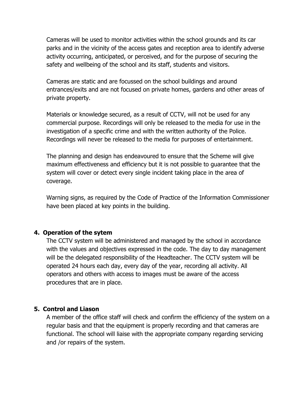Cameras will be used to monitor activities within the school grounds and its car parks and in the vicinity of the access gates and reception area to identify adverse activity occurring, anticipated, or perceived, and for the purpose of securing the safety and wellbeing of the school and its staff, students and visitors.

Cameras are static and are focussed on the school buildings and around entrances/exits and are not focused on private homes, gardens and other areas of private property.

Materials or knowledge secured, as a result of CCTV, will not be used for any commercial purpose. Recordings will only be released to the media for use in the investigation of a specific crime and with the written authority of the Police. Recordings will never be released to the media for purposes of entertainment.

The planning and design has endeavoured to ensure that the Scheme will give maximum effectiveness and efficiency but it is not possible to guarantee that the system will cover or detect every single incident taking place in the area of coverage.

Warning signs, as required by the Code of Practice of the Information Commissioner have been placed at key points in the building.

#### **4. Operation of the sytem**

The CCTV system will be administered and managed by the school in accordance with the values and objectives expressed in the code. The day to day management will be the delegated responsibility of the Headteacher. The CCTV system will be operated 24 hours each day, every day of the year, recording all activity. All operators and others with access to images must be aware of the access procedures that are in place.

#### **5. Control and Liason**

A member of the office staff will check and confirm the efficiency of the system on a regular basis and that the equipment is properly recording and that cameras are functional. The school will liaise with the appropriate company regarding servicing and /or repairs of the system.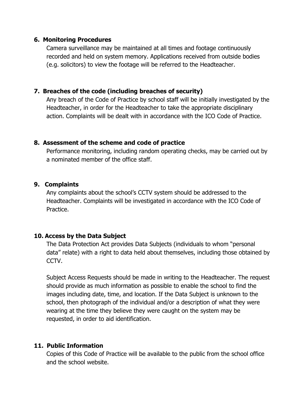#### **6. Monitoring Procedures**

Camera surveillance may be maintained at all times and footage continuously recorded and held on system memory. Applications received from outside bodies (e.g. solicitors) to view the footage will be referred to the Headteacher.

# **7. Breaches of the code (including breaches of security)**

Any breach of the Code of Practice by school staff will be initially investigated by the Headteacher, in order for the Headteacher to take the appropriate disciplinary action. Complaints will be dealt with in accordance with the ICO Code of Practice.

#### **8. Assessment of the scheme and code of practice**

Performance monitoring, including random operating checks, may be carried out by a nominated member of the office staff.

#### **9. Complaints**

Any complaints about the school's CCTV system should be addressed to the Headteacher. Complaints will be investigated in accordance with the ICO Code of Practice.

## **10. Access by the Data Subject**

The Data Protection Act provides Data Subjects (individuals to whom "personal data" relate) with a right to data held about themselves, including those obtained by CCTV.

Subject Access Requests should be made in writing to the Headteacher. The request should provide as much information as possible to enable the school to find the images including date, time, and location. If the Data Subject is unknown to the school, then photograph of the individual and/or a description of what they were wearing at the time they believe they were caught on the system may be requested, in order to aid identification.

## **11. Public Information**

Copies of this Code of Practice will be available to the public from the school office and the school website.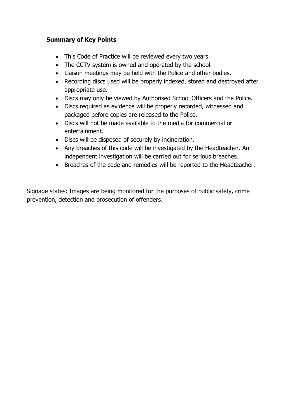# **Summary of Key Points**

- This Code of Practice will be reviewed every two years.
- The CCTV system is owned and operated by the school.
- Liaison meetings may be held with the Police and other bodies.
- Recording discs used will be properly indexed, stored and destroyed after appropriate use.
- Discs may only be viewed by Authorised School Officers and the Police.
- Discs required as evidence will be properly recorded, witnessed and packaged before copies are released to the Police.
- Discs will not be made available to the media for commercial or entertainment.
- Discs will be disposed of securely by incineration.
- Any breaches of this code will be investigated by the Headteacher. An independent investigation will be carried out for serious breaches.
- Breaches of the code and remedies will be reported to the Headteacher.

Signage states: Images are being monitored for the purposes of public safety, crime prevention, detection and prosecution of offenders.